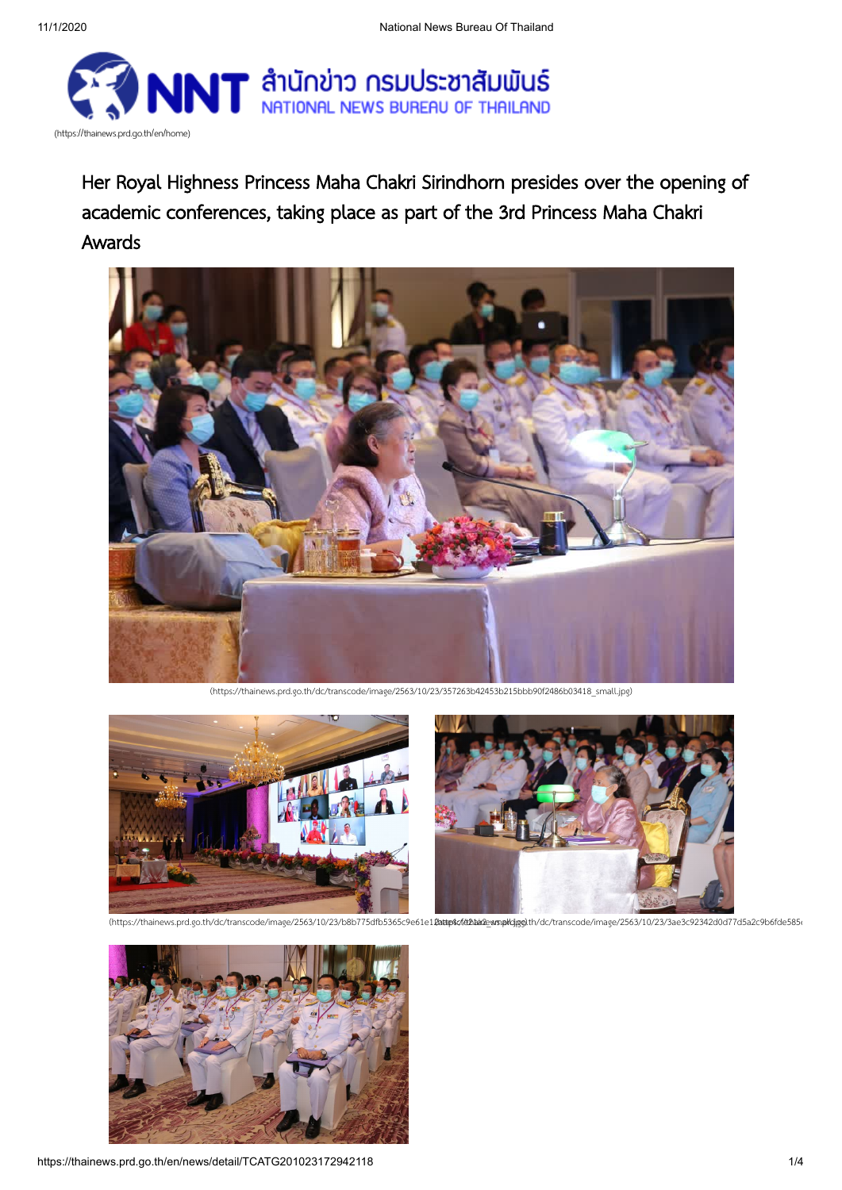

Her Royal Highness Princess Maha Chakri Sirindhorn presides over the opening of academic conferences, taking place as part of the 3rd Princess Maha Chakri Awards



[\(https://thainews.prd.go.th/dc/transcode/image/2563/10/23/357263b42453b215bbb90f2486b03418\\_small.jpg\)](https://thainews.prd.go.th/dc/transcode/image/2563/10/23/357263b42453b215bbb90f2486b03418_small.jpg)



(https://thainews.prd.go.th/dc/transcode/image/2563/10/23/b8b775dfb5365c9e61e12dtatep4scfd2hataewsnakdjagolth/dc/transcode/image/2563/10/23/3ae3c92342d0d77d5a2c9b6fde585i

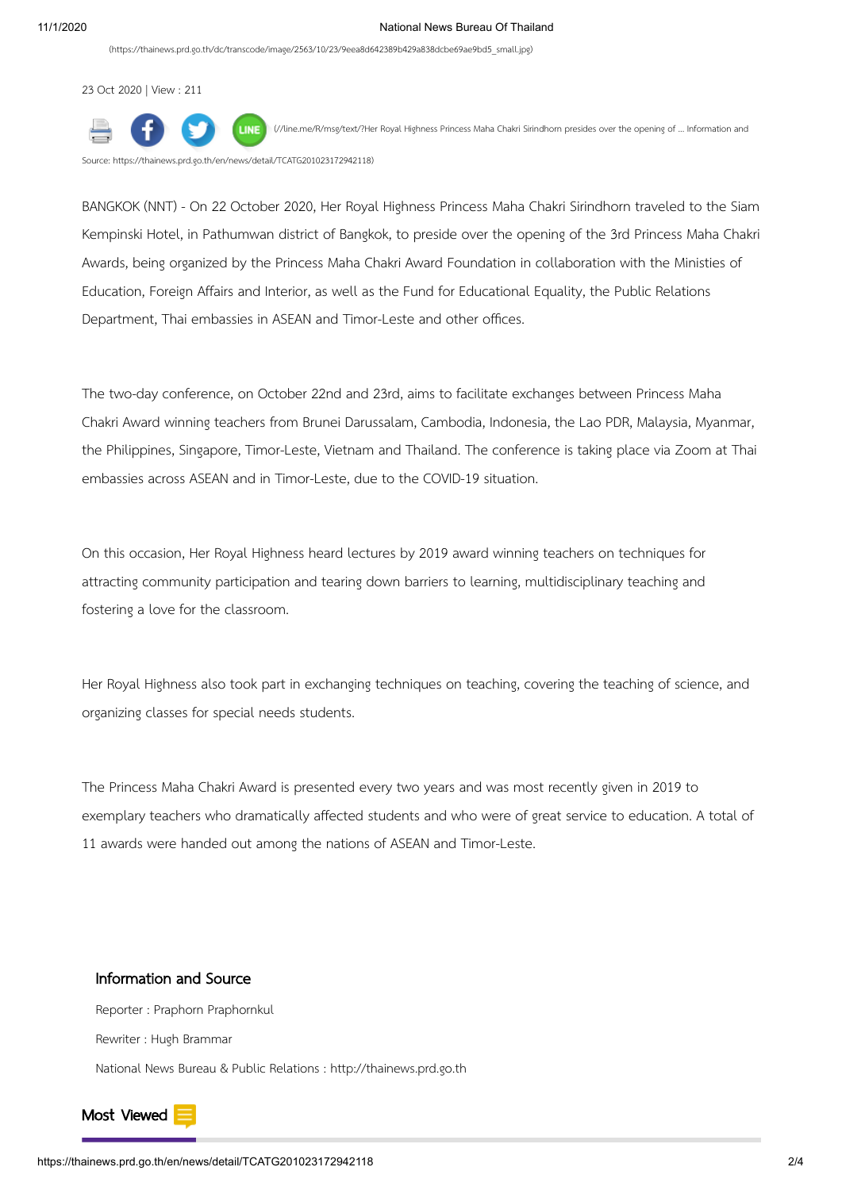[\(https://thainews.prd.go.th/dc/transcode/image/2563/10/23/9eea8d642389b429a838dcbe69ae9bd5\\_small.jpg\)](https://thainews.prd.go.th/dc/transcode/image/2563/10/23/9eea8d642389b429a838dcbe69ae9bd5_small.jpg)

23 Oct 2020 | View : 211



(//line.me/R/msg/text/?Her Royal Highness Princess Maha Chakri Sirindhorn presides over the opening of ... Information and

Source: [https://thainews.prd.go.th/en/news/detail/TCATG201023172942118\)](https://line.me/R/msg/text/?Her%20Royal%20Highness%20Princess%20Maha%20Chakri%20Sirindhorn%20presides%20over%20the%20opening%20of%20...%20Information%20and%20Source:%20https://thainews.prd.go.th/en/news/detail/TCATG201023172942118)

BANGKOK (NNT) - On 22 October 2020, Her Royal Highness Princess Maha Chakri Sirindhorn traveled to the Siam Kempinski Hotel, in Pathumwan district of Bangkok, to preside over the opening of the 3rd Princess Maha Chakri Awards, being organized by the Princess Maha Chakri Award Foundation in collaboration with the Ministies of Education, Foreign Affairs and Interior, as well as the Fund for Educational Equality, the Public Relations Department, Thai embassies in ASEAN and Timor-Leste and other offices.

The two-day conference, on October 22nd and 23rd, aims to facilitate exchanges between Princess Maha Chakri Award winning teachers from Brunei Darussalam, Cambodia, Indonesia, the Lao PDR, Malaysia, Myanmar, the Philippines, Singapore, Timor-Leste, Vietnam and Thailand. The conference is taking place via Zoom at Thai embassies across ASEAN and in Timor-Leste, due to the COVID-19 situation.

On this occasion, Her Royal Highness heard lectures by 2019 award winning teachers on techniques for attracting community participation and tearing down barriers to learning, multidisciplinary teaching and fostering a love for the classroom.

Her Royal Highness also took part in exchanging techniques on teaching, covering the teaching of science, and organizing classes for special needs students.

The Princess Maha Chakri Award is presented every two years and was most recently given in 2019 to exemplary teachers who dramatically affected students and who were of great service to education. A total of 11 awards were handed out among the nations of ASEAN and Timor-Leste.

## Information and Source

Reporter : Praphorn Praphornkul Rewriter : Hugh Brammar National News Bureau & Public Relations : http://thainews.prd.go.th

<span id="page-1-0"></span>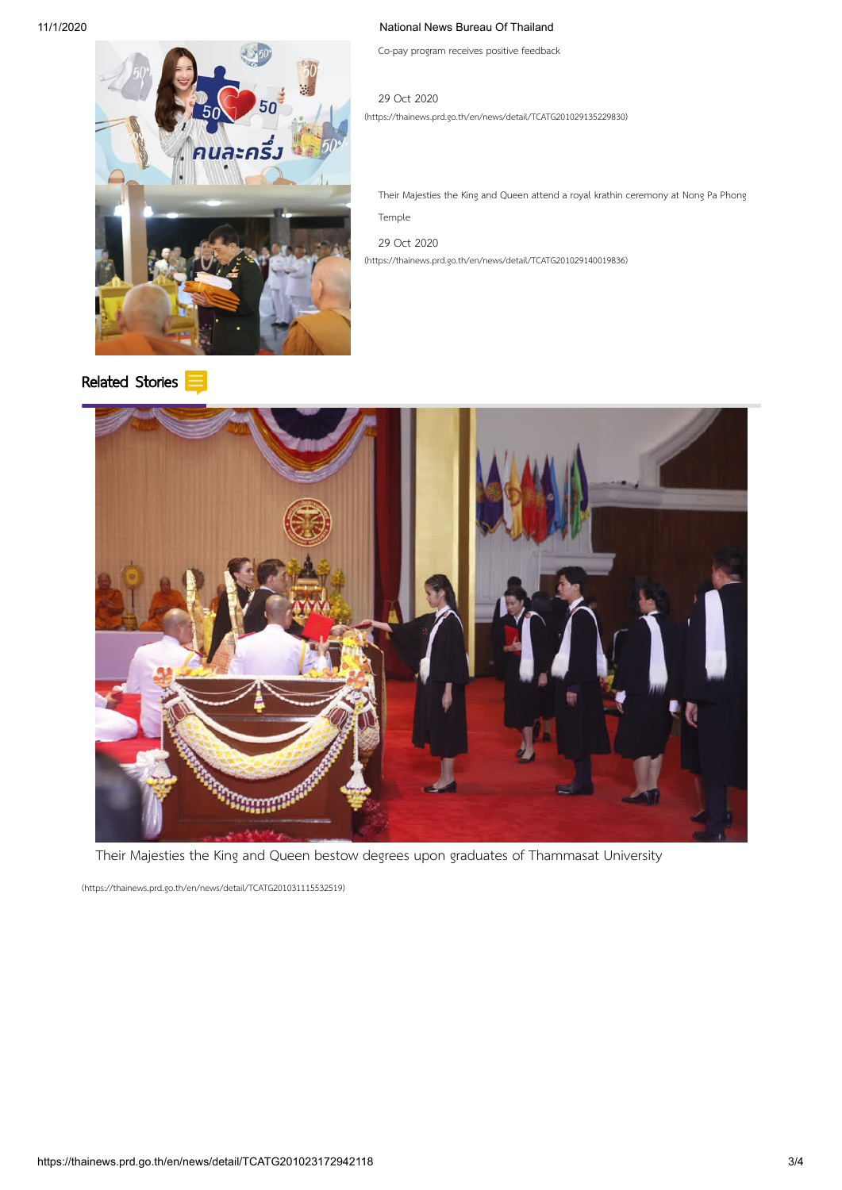## 11/1/2020 National News Bureau Of Thailand

Co-pay program receives positive feedback

นละคริ

[Related](#page-1-0) Stories

[\(https://thainews.prd.go.th/en/news/detail/TCATG201029135229830\)](https://thainews.prd.go.th/en/news/detail/TCATG201029135229830) 29 Oct 2020

Their Majesties the King and Queen attend a royal krathin ceremony at Nong Pa Phong Temple

[\(https://thainews.prd.go.th/en/news/detail/TCATG201029140019836\)](https://thainews.prd.go.th/en/news/detail/TCATG201029140019836) 29 Oct 2020



Their Majesties the King and Queen bestow degrees upon graduates of Thammasat University

[\(https://thainews.prd.go.th/en/news/detail/TCATG201031115532519\)](https://thainews.prd.go.th/en/news/detail/TCATG201031115532519)